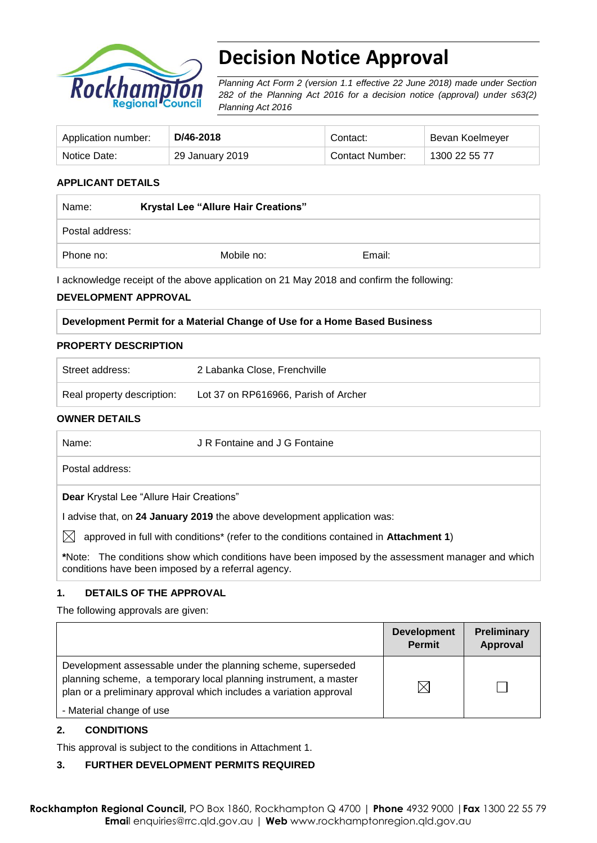

# **Decision Notice Approval**

*Planning Act Form 2 (version 1.1 effective 22 June 2018) made under Section 282 of the Planning Act 2016 for a decision notice (approval) under s63(2) Planning Act 2016*

| Application number: | D/46-2018       | Contact:        | Bevan Koelmeyer |
|---------------------|-----------------|-----------------|-----------------|
| Notice Date:        | 29 January 2019 | Contact Number: | 1300 22 55 77   |

### **APPLICANT DETAILS**

| Name:           | Krystal Lee "Allure Hair Creations" |        |  |
|-----------------|-------------------------------------|--------|--|
| Postal address: |                                     |        |  |
| Phone no:       | Mobile no:                          | Email: |  |

I acknowledge receipt of the above application on 21 May 2018 and confirm the following:

#### **DEVELOPMENT APPROVAL**

#### **Development Permit for a Material Change of Use for a Home Based Business**

#### **PROPERTY DESCRIPTION**

| Street address:            | 2 Labanka Close, Frenchville         |
|----------------------------|--------------------------------------|
| Real property description: | Lot 37 on RP616966, Parish of Archer |

#### **OWNER DETAILS**

| Name:                                              | J R Fontaine and J G Fontaine                                                                     |
|----------------------------------------------------|---------------------------------------------------------------------------------------------------|
| Postal address:                                    |                                                                                                   |
| Dear Krystal Lee "Allure Hair Creations"           |                                                                                                   |
|                                                    | I advise that, on 24 January 2019 the above development application was:                          |
| $\boxtimes$                                        | approved in full with conditions* (refer to the conditions contained in Attachment 1)             |
| conditions have been imposed by a referral agency. | *Note: The conditions show which conditions have been imposed by the assessment manager and which |

#### **1. DETAILS OF THE APPROVAL**

The following approvals are given:

|                                                                                                                                                                                                        | <b>Development</b><br><b>Permit</b> | <b>Preliminary</b><br>Approval |
|--------------------------------------------------------------------------------------------------------------------------------------------------------------------------------------------------------|-------------------------------------|--------------------------------|
| Development assessable under the planning scheme, superseded<br>planning scheme, a temporary local planning instrument, a master<br>plan or a preliminary approval which includes a variation approval | $\boxtimes$                         |                                |
| - Material change of use                                                                                                                                                                               |                                     |                                |

### **2. CONDITIONS**

This approval is subject to the conditions in Attachment 1.

#### **3. FURTHER DEVELOPMENT PERMITS REQUIRED**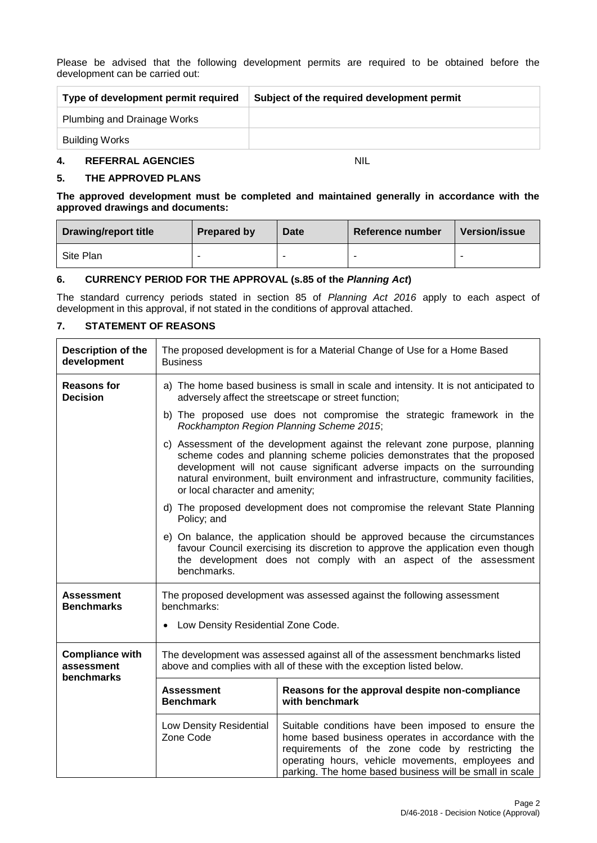Please be advised that the following development permits are required to be obtained before the development can be carried out:

| Type of development permit required | Subject of the required development permit |
|-------------------------------------|--------------------------------------------|
| <b>Plumbing and Drainage Works</b>  |                                            |
| Building Works                      |                                            |

#### **4. REFERRAL AGENCIES** NIL

#### **5. THE APPROVED PLANS**

#### **The approved development must be completed and maintained generally in accordance with the approved drawings and documents:**

| <b>Drawing/report title</b> | <b>Prepared by</b> | Date | <b>Reference number</b> | <b>Version/issue</b> |
|-----------------------------|--------------------|------|-------------------------|----------------------|
| Site Plan                   | -                  |      |                         | -                    |

#### **6. CURRENCY PERIOD FOR THE APPROVAL (s.85 of the** *Planning Act***)**

The standard currency periods stated in section 85 of *Planning Act 2016* apply to each aspect of development in this approval, if not stated in the conditions of approval attached.

#### **7. STATEMENT OF REASONS**

| Description of the<br>development                  | The proposed development is for a Material Change of Use for a Home Based<br><b>Business</b>                                                                                                                                                                                                                                                                 |                                                                                                                                                                                                                                                                                |  |
|----------------------------------------------------|--------------------------------------------------------------------------------------------------------------------------------------------------------------------------------------------------------------------------------------------------------------------------------------------------------------------------------------------------------------|--------------------------------------------------------------------------------------------------------------------------------------------------------------------------------------------------------------------------------------------------------------------------------|--|
| <b>Reasons for</b><br><b>Decision</b>              | a) The home based business is small in scale and intensity. It is not anticipated to<br>adversely affect the streetscape or street function;                                                                                                                                                                                                                 |                                                                                                                                                                                                                                                                                |  |
|                                                    |                                                                                                                                                                                                                                                                                                                                                              | b) The proposed use does not compromise the strategic framework in the<br>Rockhampton Region Planning Scheme 2015;                                                                                                                                                             |  |
|                                                    | c) Assessment of the development against the relevant zone purpose, planning<br>scheme codes and planning scheme policies demonstrates that the proposed<br>development will not cause significant adverse impacts on the surrounding<br>natural environment, built environment and infrastructure, community facilities,<br>or local character and amenity; |                                                                                                                                                                                                                                                                                |  |
|                                                    | Policy; and                                                                                                                                                                                                                                                                                                                                                  | d) The proposed development does not compromise the relevant State Planning                                                                                                                                                                                                    |  |
|                                                    | e) On balance, the application should be approved because the circumstances<br>favour Council exercising its discretion to approve the application even though<br>the development does not comply with an aspect of the assessment<br>benchmarks.                                                                                                            |                                                                                                                                                                                                                                                                                |  |
| <b>Assessment</b><br><b>Benchmarks</b>             | The proposed development was assessed against the following assessment<br>benchmarks:                                                                                                                                                                                                                                                                        |                                                                                                                                                                                                                                                                                |  |
|                                                    | Low Density Residential Zone Code.                                                                                                                                                                                                                                                                                                                           |                                                                                                                                                                                                                                                                                |  |
| <b>Compliance with</b><br>assessment<br>benchmarks | The development was assessed against all of the assessment benchmarks listed<br>above and complies with all of these with the exception listed below.                                                                                                                                                                                                        |                                                                                                                                                                                                                                                                                |  |
|                                                    | Reasons for the approval despite non-compliance<br><b>Assessment</b><br>with benchmark<br><b>Benchmark</b>                                                                                                                                                                                                                                                   |                                                                                                                                                                                                                                                                                |  |
|                                                    | Low Density Residential<br>Zone Code                                                                                                                                                                                                                                                                                                                         | Suitable conditions have been imposed to ensure the<br>home based business operates in accordance with the<br>requirements of the zone code by restricting the<br>operating hours, vehicle movements, employees and<br>parking. The home based business will be small in scale |  |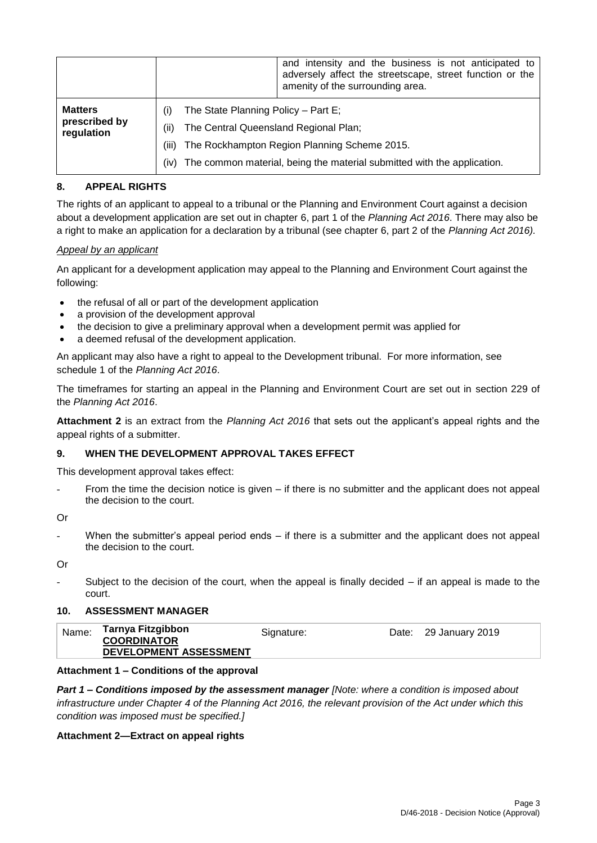|                                               |                                                                                                             | and intensity and the business is not anticipated to<br>adversely affect the streetscape, street function or the<br>amenity of the surrounding area. |
|-----------------------------------------------|-------------------------------------------------------------------------------------------------------------|------------------------------------------------------------------------------------------------------------------------------------------------------|
| <b>Matters</b><br>prescribed by<br>regulation | The State Planning Policy - Part E;<br>D)<br>The Central Queensland Regional Plan;<br>(ii)<br>(iii)<br>(iv) | The Rockhampton Region Planning Scheme 2015.<br>The common material, being the material submitted with the application.                              |

#### **8. APPEAL RIGHTS**

The rights of an applicant to appeal to a tribunal or the Planning and Environment Court against a decision about a development application are set out in chapter 6, part 1 of the *Planning Act 2016*. There may also be a right to make an application for a declaration by a tribunal (see chapter 6, part 2 of the *Planning Act 2016).*

#### *Appeal by an applicant*

An applicant for a development application may appeal to the Planning and Environment Court against the following:

- the refusal of all or part of the development application
- a provision of the development approval
- the decision to give a preliminary approval when a development permit was applied for
- a deemed refusal of the development application.

An applicant may also have a right to appeal to the Development tribunal. For more information, see schedule 1 of the *Planning Act 2016*.

The timeframes for starting an appeal in the Planning and Environment Court are set out in section 229 of the *Planning Act 2016*.

**Attachment 2** is an extract from the *Planning Act 2016* that sets out the applicant's appeal rights and the appeal rights of a submitter.

#### **9. WHEN THE DEVELOPMENT APPROVAL TAKES EFFECT**

This development approval takes effect:

From the time the decision notice is given  $-$  if there is no submitter and the applicant does not appeal the decision to the court.

Or

When the submitter's appeal period ends  $-$  if there is a submitter and the applicant does not appeal the decision to the court.

Or

Subject to the decision of the court, when the appeal is finally decided  $-$  if an appeal is made to the court.

#### **10. ASSESSMENT MANAGER**

| Tarnya Fitzgibbon<br>Name:<br>Date: 29 January 2019<br>Signature:<br><b>COORDINATOR</b><br>DEVELOPMENT ASSESSMENT |
|-------------------------------------------------------------------------------------------------------------------|
|-------------------------------------------------------------------------------------------------------------------|

#### **Attachment 1 – Conditions of the approval**

*Part 1* **–** *Conditions imposed by the assessment manager [Note: where a condition is imposed about infrastructure under Chapter 4 of the Planning Act 2016, the relevant provision of the Act under which this condition was imposed must be specified.]*

#### **Attachment 2—Extract on appeal rights**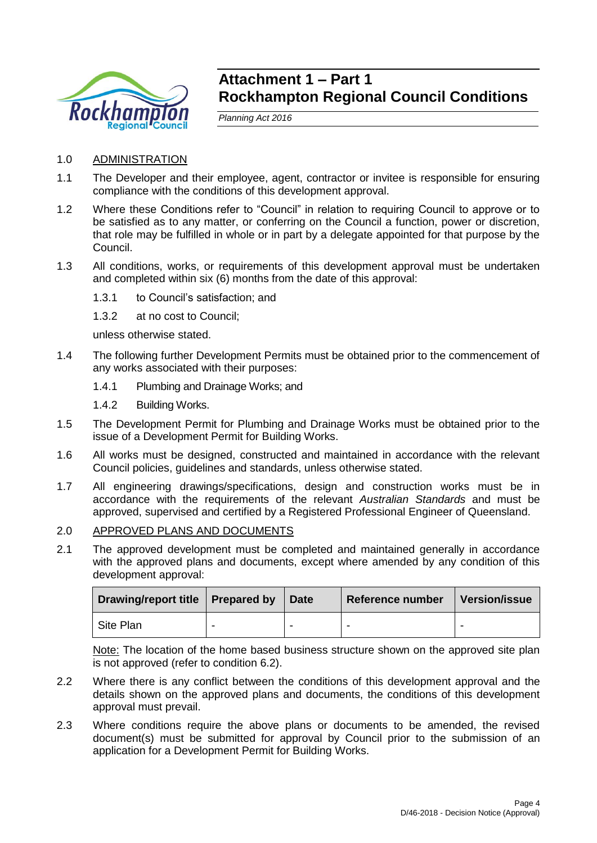

## **Attachment 1 – Part 1 Rockhampton Regional Council Conditions**

*Planning Act 2016*

- 1.0 ADMINISTRATION
- 1.1 The Developer and their employee, agent, contractor or invitee is responsible for ensuring compliance with the conditions of this development approval.
- 1.2 Where these Conditions refer to "Council" in relation to requiring Council to approve or to be satisfied as to any matter, or conferring on the Council a function, power or discretion, that role may be fulfilled in whole or in part by a delegate appointed for that purpose by the Council.
- 1.3 All conditions, works, or requirements of this development approval must be undertaken and completed within six (6) months from the date of this approval:
	- 1.3.1 to Council's satisfaction; and
	- 1.3.2 at no cost to Council;

unless otherwise stated.

- 1.4 The following further Development Permits must be obtained prior to the commencement of any works associated with their purposes:
	- 1.4.1 Plumbing and Drainage Works; and
	- 1.4.2 Building Works.
- 1.5 The Development Permit for Plumbing and Drainage Works must be obtained prior to the issue of a Development Permit for Building Works.
- 1.6 All works must be designed, constructed and maintained in accordance with the relevant Council policies, guidelines and standards, unless otherwise stated.
- 1.7 All engineering drawings/specifications, design and construction works must be in accordance with the requirements of the relevant *Australian Standards* and must be approved, supervised and certified by a Registered Professional Engineer of Queensland.

### 2.0 APPROVED PLANS AND DOCUMENTS

2.1 The approved development must be completed and maintained generally in accordance with the approved plans and documents, except where amended by any condition of this development approval:

| Drawing/report title   Prepared by |   | <b>Date</b> | Reference number | <b>Version/issue</b> |
|------------------------------------|---|-------------|------------------|----------------------|
| Site Plan                          | - |             |                  |                      |

Note: The location of the home based business structure shown on the approved site plan is not approved (refer to condition 6.2).

- 2.2 Where there is any conflict between the conditions of this development approval and the details shown on the approved plans and documents, the conditions of this development approval must prevail.
- 2.3 Where conditions require the above plans or documents to be amended, the revised document(s) must be submitted for approval by Council prior to the submission of an application for a Development Permit for Building Works.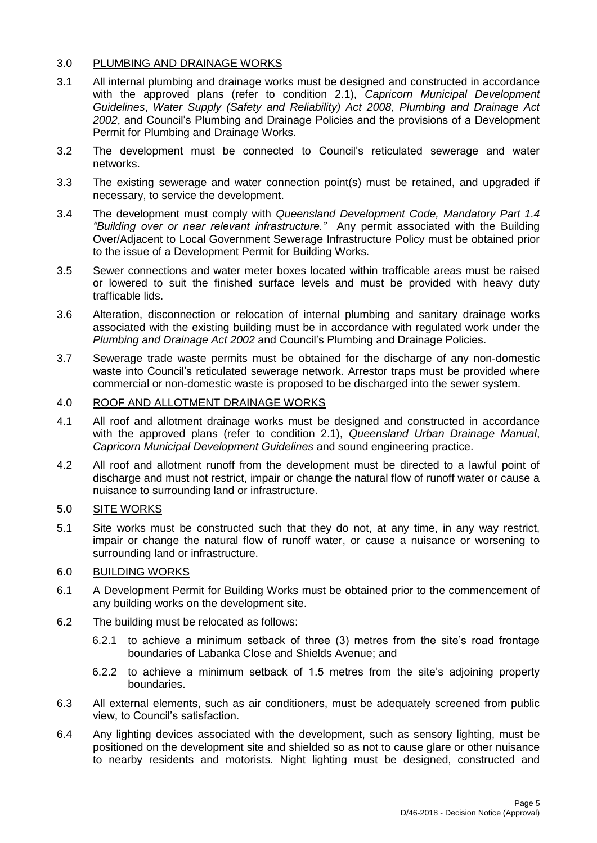### 3.0 PLUMBING AND DRAINAGE WORKS

- 3.1 All internal plumbing and drainage works must be designed and constructed in accordance with the approved plans (refer to condition 2.1), *Capricorn Municipal Development Guidelines*, *Water Supply (Safety and Reliability) Act 2008, Plumbing and Drainage Act 2002*, and Council's Plumbing and Drainage Policies and the provisions of a Development Permit for Plumbing and Drainage Works.
- 3.2 The development must be connected to Council's reticulated sewerage and water networks.
- 3.3 The existing sewerage and water connection point(s) must be retained, and upgraded if necessary, to service the development.
- 3.4 The development must comply with *Queensland Development Code, Mandatory Part 1.4 "Building over or near relevant infrastructure."* Any permit associated with the Building Over/Adjacent to Local Government Sewerage Infrastructure Policy must be obtained prior to the issue of a Development Permit for Building Works.
- 3.5 Sewer connections and water meter boxes located within trafficable areas must be raised or lowered to suit the finished surface levels and must be provided with heavy duty trafficable lids.
- 3.6 Alteration, disconnection or relocation of internal plumbing and sanitary drainage works associated with the existing building must be in accordance with regulated work under the *Plumbing and Drainage Act 2002* and Council's Plumbing and Drainage Policies.
- 3.7 Sewerage trade waste permits must be obtained for the discharge of any non-domestic waste into Council's reticulated sewerage network. Arrestor traps must be provided where commercial or non-domestic waste is proposed to be discharged into the sewer system.

#### 4.0 ROOF AND ALLOTMENT DRAINAGE WORKS

- 4.1 All roof and allotment drainage works must be designed and constructed in accordance with the approved plans (refer to condition 2.1), *Queensland Urban Drainage Manual*, *Capricorn Municipal Development Guidelines* and sound engineering practice.
- 4.2 All roof and allotment runoff from the development must be directed to a lawful point of discharge and must not restrict, impair or change the natural flow of runoff water or cause a nuisance to surrounding land or infrastructure.

#### 5.0 SITE WORKS

5.1 Site works must be constructed such that they do not, at any time, in any way restrict, impair or change the natural flow of runoff water, or cause a nuisance or worsening to surrounding land or infrastructure.

#### 6.0 BUILDING WORKS

- 6.1 A Development Permit for Building Works must be obtained prior to the commencement of any building works on the development site.
- 6.2 The building must be relocated as follows:
	- 6.2.1 to achieve a minimum setback of three (3) metres from the site's road frontage boundaries of Labanka Close and Shields Avenue; and
	- 6.2.2 to achieve a minimum setback of 1.5 metres from the site's adjoining property boundaries.
- 6.3 All external elements, such as air conditioners, must be adequately screened from public view, to Council's satisfaction.
- 6.4 Any lighting devices associated with the development, such as sensory lighting, must be positioned on the development site and shielded so as not to cause glare or other nuisance to nearby residents and motorists. Night lighting must be designed, constructed and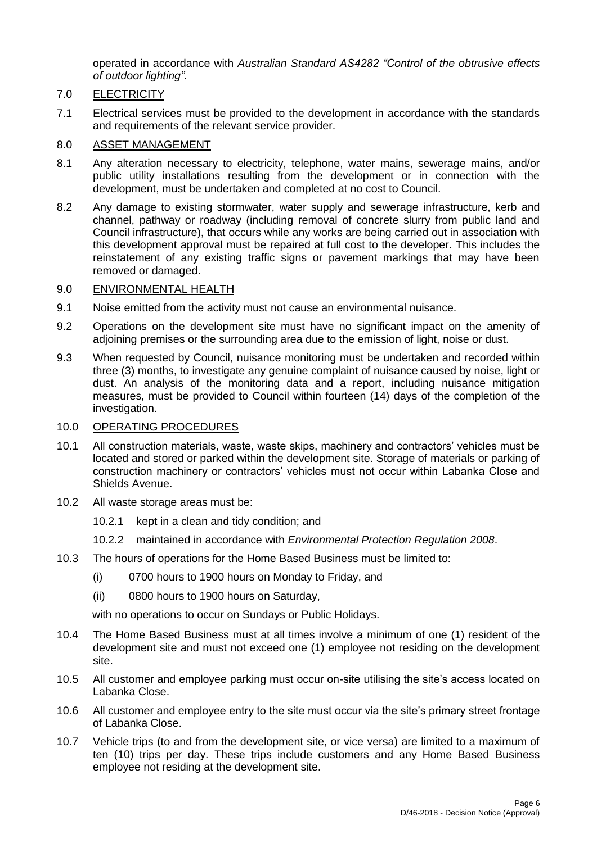operated in accordance with *Australian Standard AS4282 "Control of the obtrusive effects of outdoor lighting"*.

## 7.0 ELECTRICITY

7.1 Electrical services must be provided to the development in accordance with the standards and requirements of the relevant service provider.

### 8.0 ASSET MANAGEMENT

- 8.1 Any alteration necessary to electricity, telephone, water mains, sewerage mains, and/or public utility installations resulting from the development or in connection with the development, must be undertaken and completed at no cost to Council.
- 8.2 Any damage to existing stormwater, water supply and sewerage infrastructure, kerb and channel, pathway or roadway (including removal of concrete slurry from public land and Council infrastructure), that occurs while any works are being carried out in association with this development approval must be repaired at full cost to the developer. This includes the reinstatement of any existing traffic signs or pavement markings that may have been removed or damaged.

### 9.0 ENVIRONMENTAL HEALTH

- 9.1 Noise emitted from the activity must not cause an environmental nuisance.
- 9.2 Operations on the development site must have no significant impact on the amenity of adjoining premises or the surrounding area due to the emission of light, noise or dust.
- 9.3 When requested by Council, nuisance monitoring must be undertaken and recorded within three (3) months, to investigate any genuine complaint of nuisance caused by noise, light or dust. An analysis of the monitoring data and a report, including nuisance mitigation measures, must be provided to Council within fourteen (14) days of the completion of the investigation.

#### 10.0 OPERATING PROCEDURES

- 10.1 All construction materials, waste, waste skips, machinery and contractors' vehicles must be located and stored or parked within the development site. Storage of materials or parking of construction machinery or contractors' vehicles must not occur within Labanka Close and Shields Avenue.
- 10.2 All waste storage areas must be:
	- 10.2.1 kept in a clean and tidy condition; and
	- 10.2.2 maintained in accordance with *Environmental Protection Regulation 2008*.
- 10.3 The hours of operations for the Home Based Business must be limited to:
	- (i) 0700 hours to 1900 hours on Monday to Friday, and
	- (ii) 0800 hours to 1900 hours on Saturday,

with no operations to occur on Sundays or Public Holidays.

- 10.4 The Home Based Business must at all times involve a minimum of one (1) resident of the development site and must not exceed one (1) employee not residing on the development site.
- 10.5 All customer and employee parking must occur on-site utilising the site's access located on Labanka Close.
- 10.6 All customer and employee entry to the site must occur via the site's primary street frontage of Labanka Close.
- 10.7 Vehicle trips (to and from the development site, or vice versa) are limited to a maximum of ten (10) trips per day. These trips include customers and any Home Based Business employee not residing at the development site.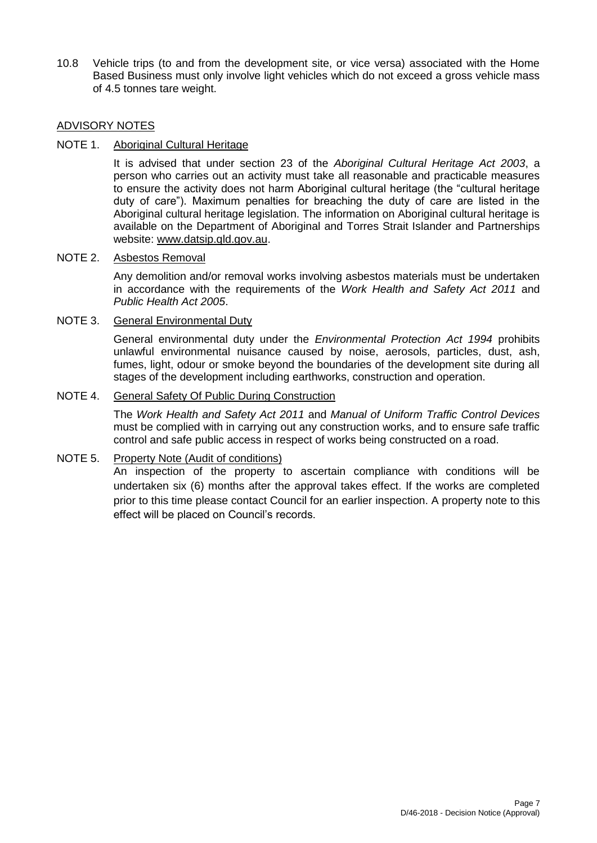10.8 Vehicle trips (to and from the development site, or vice versa) associated with the Home Based Business must only involve light vehicles which do not exceed a gross vehicle mass of 4.5 tonnes tare weight.

#### ADVISORY NOTES

### NOTE 1. Aboriginal Cultural Heritage

It is advised that under section 23 of the *Aboriginal Cultural Heritage Act 2003*, a person who carries out an activity must take all reasonable and practicable measures to ensure the activity does not harm Aboriginal cultural heritage (the "cultural heritage duty of care"). Maximum penalties for breaching the duty of care are listed in the Aboriginal cultural heritage legislation. The information on Aboriginal cultural heritage is available on the Department of Aboriginal and Torres Strait Islander and Partnerships website: [www.datsip.qld.gov.au.](http://www.datsip.qld.gov.au/)

## NOTE 2. Asbestos Removal

Any demolition and/or removal works involving asbestos materials must be undertaken in accordance with the requirements of the *Work Health and Safety Act 2011* and *Public Health Act 2005*.

#### NOTE 3. General Environmental Duty

General environmental duty under the *Environmental Protection Act 1994* prohibits unlawful environmental nuisance caused by noise, aerosols, particles, dust, ash, fumes, light, odour or smoke beyond the boundaries of the development site during all stages of the development including earthworks, construction and operation.

#### NOTE 4. General Safety Of Public During Construction

The *Work Health and Safety Act 2011* and *Manual of Uniform Traffic Control Devices* must be complied with in carrying out any construction works, and to ensure safe traffic control and safe public access in respect of works being constructed on a road.

### NOTE 5. Property Note (Audit of conditions)

An inspection of the property to ascertain compliance with conditions will be undertaken six (6) months after the approval takes effect. If the works are completed prior to this time please contact Council for an earlier inspection. A property note to this effect will be placed on Council's records.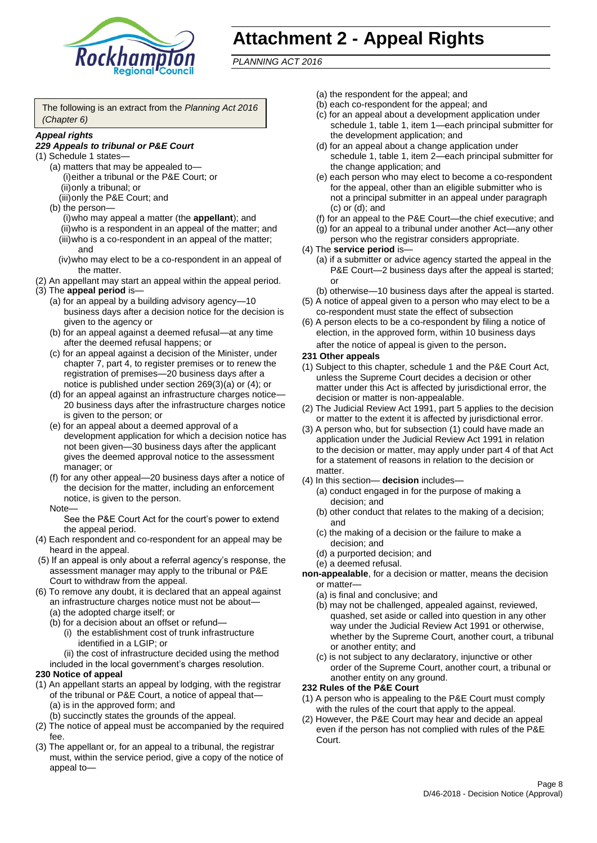

## **Attachment 2 - Appeal Rights**

*PLANNING ACT 2016*

The following is an extract from the *Planning Act 2016 (Chapter 6)*

#### *Appeal rights*

#### *229 Appeals to tribunal or P&E Court*

- (1) Schedule 1 states—
	- (a) matters that may be appealed to— (i)either a tribunal or the P&E Court; or (ii)only a tribunal; or (iii)only the P&E Court; and
	- (b) the person—

(i)who may appeal a matter (the **appellant**); and (ii)who is a respondent in an appeal of the matter; and (iii)who is a co-respondent in an appeal of the matter; and

- (iv)who may elect to be a co-respondent in an appeal of the matter.
- (2) An appellant may start an appeal within the appeal period.
- (3) The **appeal period** is—
	- (a) for an appeal by a building advisory agency—10 business days after a decision notice for the decision is given to the agency or
	- (b) for an appeal against a deemed refusal—at any time after the deemed refusal happens; or
	- (c) for an appeal against a decision of the Minister, under chapter 7, part 4, to register premises or to renew the registration of premises—20 business days after a notice is published under section 269(3)(a) or (4); or
	- (d) for an appeal against an infrastructure charges notice— 20 business days after the infrastructure charges notice is given to the person; or
	- (e) for an appeal about a deemed approval of a development application for which a decision notice has not been given—30 business days after the applicant gives the deemed approval notice to the assessment manager; or
	- (f) for any other appeal—20 business days after a notice of the decision for the matter, including an enforcement notice, is given to the person.

#### Note—

See the P&E Court Act for the court's power to extend the appeal period.

- (4) Each respondent and co-respondent for an appeal may be heard in the appeal.
- (5) If an appeal is only about a referral agency's response, the assessment manager may apply to the tribunal or P&E Court to withdraw from the appeal.
- (6) To remove any doubt, it is declared that an appeal against an infrastructure charges notice must not be about—
	- (a) the adopted charge itself; or
	- (b) for a decision about an offset or refund—
		- (i) the establishment cost of trunk infrastructure identified in a LGIP; or
		- (ii) the cost of infrastructure decided using the method

included in the local government's charges resolution.

#### **230 Notice of appeal**

- (1) An appellant starts an appeal by lodging, with the registrar of the tribunal or P&E Court, a notice of appeal that—
	- (a) is in the approved form; and
	- (b) succinctly states the grounds of the appeal.
- (2) The notice of appeal must be accompanied by the required fee.
- (3) The appellant or, for an appeal to a tribunal, the registrar must, within the service period, give a copy of the notice of appeal to—
- (a) the respondent for the appeal; and
- (b) each co-respondent for the appeal; and
- (c) for an appeal about a development application under schedule 1, table 1, item 1—each principal submitter for the development application; and
- (d) for an appeal about a change application under schedule 1, table 1, item 2—each principal submitter for the change application; and
- (e) each person who may elect to become a co-respondent for the appeal, other than an eligible submitter who is not a principal submitter in an appeal under paragraph (c) or (d); and
- (f) for an appeal to the P&E Court—the chief executive; and
- (g) for an appeal to a tribunal under another Act—any other person who the registrar considers appropriate.
- (4) The **service period** is—
	- (a) if a submitter or advice agency started the appeal in the P&E Court—2 business days after the appeal is started; or
	- (b) otherwise—10 business days after the appeal is started.
- (5) A notice of appeal given to a person who may elect to be a co-respondent must state the effect of subsection
- (6) A person elects to be a co-respondent by filing a notice of election, in the approved form, within 10 business days after the notice of appeal is given to the person*.*
- **231 Other appeals**
- (1) Subject to this chapter, schedule 1 and the P&E Court Act, unless the Supreme Court decides a decision or other matter under this Act is affected by jurisdictional error, the decision or matter is non-appealable.
- (2) The Judicial Review Act 1991, part 5 applies to the decision or matter to the extent it is affected by jurisdictional error.
- (3) A person who, but for subsection (1) could have made an application under the Judicial Review Act 1991 in relation to the decision or matter, may apply under part 4 of that Act for a statement of reasons in relation to the decision or matter.
- (4) In this section— **decision** includes—
	- (a) conduct engaged in for the purpose of making a decision; and
	- (b) other conduct that relates to the making of a decision; and
	- (c) the making of a decision or the failure to make a decision; and
	- (d) a purported decision; and
	- (e) a deemed refusal.

**non-appealable**, for a decision or matter, means the decision or matter—

- (a) is final and conclusive; and
- (b) may not be challenged, appealed against, reviewed, quashed, set aside or called into question in any other way under the Judicial Review Act 1991 or otherwise, whether by the Supreme Court, another court, a tribunal or another entity; and
- (c) is not subject to any declaratory, injunctive or other order of the Supreme Court, another court, a tribunal or another entity on any ground.

#### **232 Rules of the P&E Court**

- (1) A person who is appealing to the P&E Court must comply with the rules of the court that apply to the appeal.
- (2) However, the P&E Court may hear and decide an appeal even if the person has not complied with rules of the P&E Court.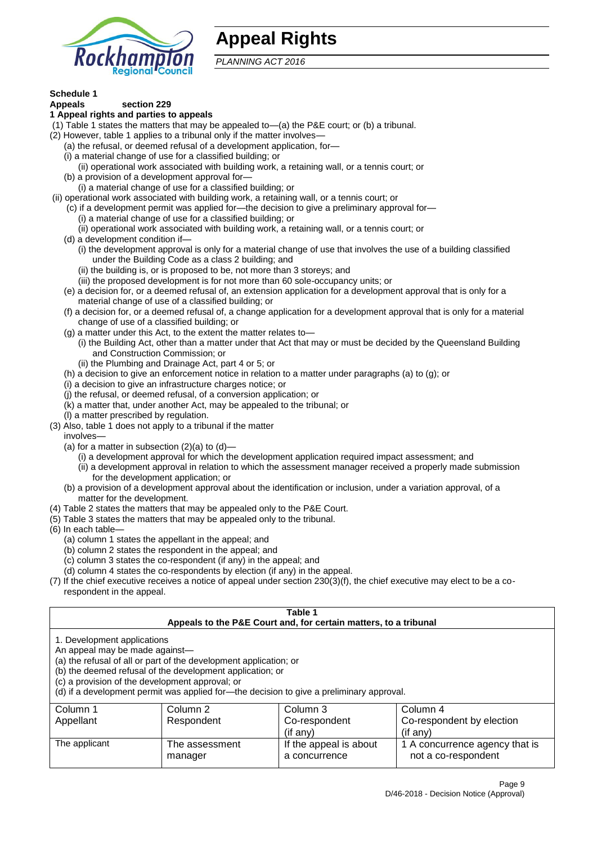

## **Appeal Rights**

*PLANNING ACT 2016*

## **Schedule 1**

#### **Appeals section 229 1 Appeal rights and parties to appeals**

- (1) Table 1 states the matters that may be appealed to—(a) the P&E court; or (b) a tribunal.
- (2) However, table 1 applies to a tribunal only if the matter involves—
	- (a) the refusal, or deemed refusal of a development application, for—
	- (i) a material change of use for a classified building; or
	- (ii) operational work associated with building work, a retaining wall, or a tennis court; or
	- (b) a provision of a development approval for—
	- (i) a material change of use for a classified building; or
- (ii) operational work associated with building work, a retaining wall, or a tennis court; or
	- (c) if a development permit was applied for—the decision to give a preliminary approval for—
		- (i) a material change of use for a classified building; or
	- (ii) operational work associated with building work, a retaining wall, or a tennis court; or
	- (d) a development condition if—
		- (i) the development approval is only for a material change of use that involves the use of a building classified under the Building Code as a class 2 building; and
		- (ii) the building is, or is proposed to be, not more than 3 storeys; and
		- (iii) the proposed development is for not more than 60 sole-occupancy units; or
	- (e) a decision for, or a deemed refusal of, an extension application for a development approval that is only for a material change of use of a classified building; or
	- (f) a decision for, or a deemed refusal of, a change application for a development approval that is only for a material change of use of a classified building; or
	- (g) a matter under this Act, to the extent the matter relates to—
		- (i) the Building Act, other than a matter under that Act that may or must be decided by the Queensland Building and Construction Commission; or
		- (ii) the Plumbing and Drainage Act, part 4 or 5; or
	- (h) a decision to give an enforcement notice in relation to a matter under paragraphs (a) to (g); or
	- (i) a decision to give an infrastructure charges notice; or
	- (j) the refusal, or deemed refusal, of a conversion application; or
	- (k) a matter that, under another Act, may be appealed to the tribunal; or
	- (l) a matter prescribed by regulation.
- (3) Also, table 1 does not apply to a tribunal if the matter

involves—

- (a) for a matter in subsection  $(2)(a)$  to  $(d)$ 
	- (i) a development approval for which the development application required impact assessment; and
	- (ii) a development approval in relation to which the assessment manager received a properly made submission for the development application; or
- (b) a provision of a development approval about the identification or inclusion, under a variation approval, of a matter for the development.
- (4) Table 2 states the matters that may be appealed only to the P&E Court.
- (5) Table 3 states the matters that may be appealed only to the tribunal.
- (6) In each table—
	- (a) column 1 states the appellant in the appeal; and
	- (b) column 2 states the respondent in the appeal; and
	- (c) column 3 states the co-respondent (if any) in the appeal; and
	- (d) column 4 states the co-respondents by election (if any) in the appeal.
- (7) If the chief executive receives a notice of appeal under section 230(3)(f), the chief executive may elect to be a corespondent in the appeal.

| Table 1<br>Appeals to the P&E Court and, for certain matters, to a tribunal                                                                                                                                                                                                                                                                    |                           |                                         |                                                       |  |
|------------------------------------------------------------------------------------------------------------------------------------------------------------------------------------------------------------------------------------------------------------------------------------------------------------------------------------------------|---------------------------|-----------------------------------------|-------------------------------------------------------|--|
| 1. Development applications<br>An appeal may be made against-<br>(a) the refusal of all or part of the development application; or<br>(b) the deemed refusal of the development application; or<br>(c) a provision of the development approval; or<br>(d) if a development permit was applied for-the decision to give a preliminary approval. |                           |                                         |                                                       |  |
| Column 3<br>Column 1<br>Column 2<br>Column 4<br>Co-respondent by election<br>Appellant<br>Respondent<br>Co-respondent<br>(if any)<br>$($ if any $)$                                                                                                                                                                                            |                           |                                         |                                                       |  |
| The applicant                                                                                                                                                                                                                                                                                                                                  | The assessment<br>manager | If the appeal is about<br>a concurrence | 1 A concurrence agency that is<br>not a co-respondent |  |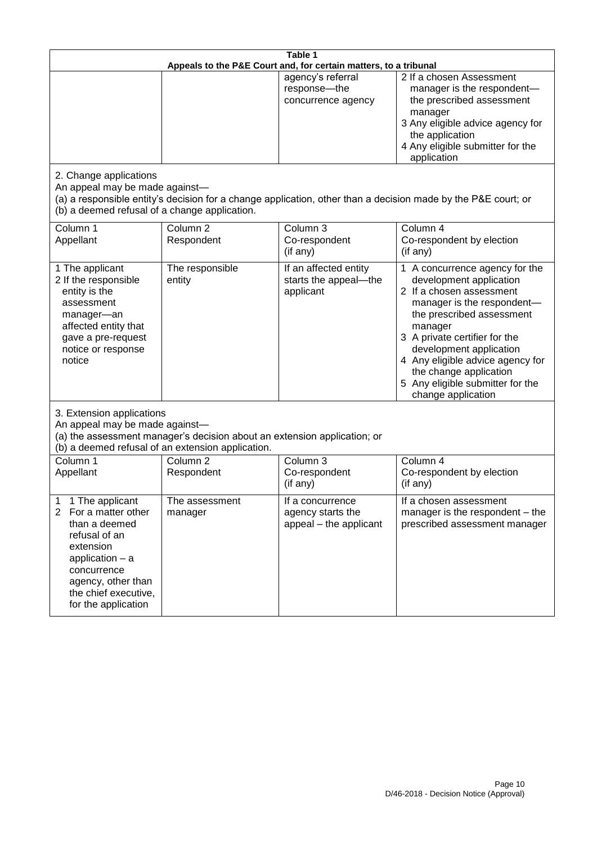| Table 1<br>Appeals to the P&E Court and, for certain matters, to a tribunal                                                                                                                                        |                                   |                                                                 |                                                                                                                                                                                                                                                                                                                                                 |  |
|--------------------------------------------------------------------------------------------------------------------------------------------------------------------------------------------------------------------|-----------------------------------|-----------------------------------------------------------------|-------------------------------------------------------------------------------------------------------------------------------------------------------------------------------------------------------------------------------------------------------------------------------------------------------------------------------------------------|--|
|                                                                                                                                                                                                                    |                                   | agency's referral<br>response-the<br>concurrence agency         | 2 If a chosen Assessment<br>manager is the respondent-<br>the prescribed assessment<br>manager<br>3 Any eligible advice agency for<br>the application<br>4 Any eligible submitter for the<br>application                                                                                                                                        |  |
| 2. Change applications<br>An appeal may be made against-<br>(b) a deemed refusal of a change application.                                                                                                          |                                   |                                                                 | (a) a responsible entity's decision for a change application, other than a decision made by the P&E court; or                                                                                                                                                                                                                                   |  |
| Column 1<br>Appellant                                                                                                                                                                                              | Column <sub>2</sub><br>Respondent | Column 3<br>Co-respondent<br>(if any)                           | Column 4<br>Co-respondent by election<br>(if any)                                                                                                                                                                                                                                                                                               |  |
| 1 The applicant<br>2 If the responsible<br>entity is the<br>assessment<br>manager-an<br>affected entity that<br>gave a pre-request<br>notice or response<br>notice                                                 | The responsible<br>entity         | If an affected entity<br>starts the appeal-the<br>applicant     | 1 A concurrence agency for the<br>development application<br>2 If a chosen assessment<br>manager is the respondent-<br>the prescribed assessment<br>manager<br>3 A private certifier for the<br>development application<br>4 Any eligible advice agency for<br>the change application<br>5 Any eligible submitter for the<br>change application |  |
| 3. Extension applications<br>An appeal may be made against-<br>(a) the assessment manager's decision about an extension application; or<br>(b) a deemed refusal of an extension application.                       |                                   |                                                                 |                                                                                                                                                                                                                                                                                                                                                 |  |
| Column 1<br>Appellant                                                                                                                                                                                              | Column <sub>2</sub><br>Respondent | Column 3<br>Co-respondent<br>(if any)                           | Column 4<br>Co-respondent by election<br>(if any)                                                                                                                                                                                                                                                                                               |  |
| 1 The applicant<br>1<br>For a matter other<br>$\overline{2}$<br>than a deemed<br>refusal of an<br>extension<br>application - a<br>concurrence<br>agency, other than<br>the chief executive,<br>for the application | The assessment<br>manager         | If a concurrence<br>agency starts the<br>appeal - the applicant | If a chosen assessment<br>manager is the respondent - the<br>prescribed assessment manager                                                                                                                                                                                                                                                      |  |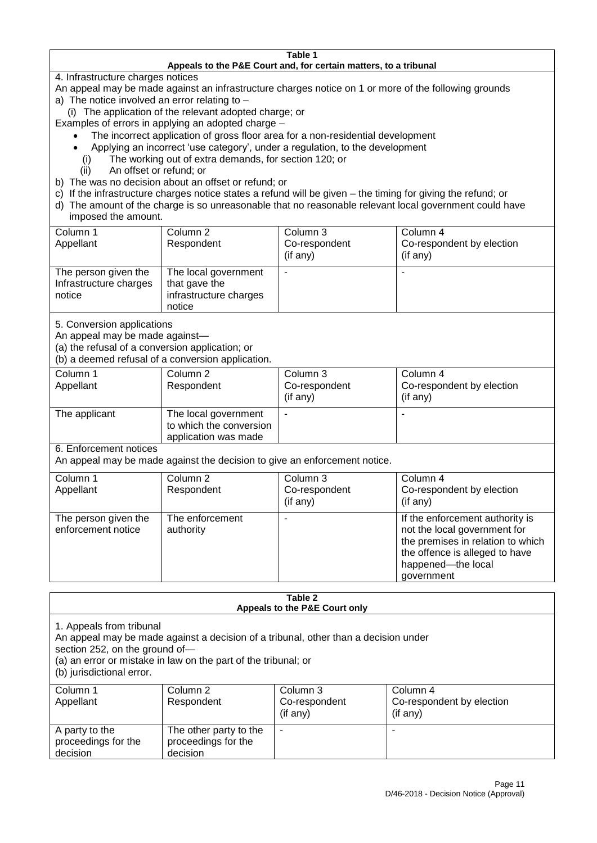#### **Table 1 Appeals to the P&E Court and, for certain matters, to a tribunal**

4. Infrastructure charges notices

- An appeal may be made against an infrastructure charges notice on 1 or more of the following grounds
- a) The notice involved an error relating to
	- (i) The application of the relevant adopted charge; or
- Examples of errors in applying an adopted charge
	- The incorrect application of gross floor area for a non-residential development
	- Applying an incorrect 'use category', under a regulation, to the development
	- (i) The working out of extra demands, for section 120; or
	- (ii) An offset or refund; or
- b) The was no decision about an offset or refund; or
- c) If the infrastructure charges notice states a refund will be given the timing for giving the refund; or
- d) The amount of the charge is so unreasonable that no reasonable relevant local government could have
- imposed the amount.

| Column 1                                                 | Column 2                                                                  | Column 3      | Column 4                  |
|----------------------------------------------------------|---------------------------------------------------------------------------|---------------|---------------------------|
| Appellant                                                | Respondent                                                                | Co-respondent | Co-respondent by election |
|                                                          |                                                                           | (if any)      | (if any)                  |
| The person given the<br>Infrastructure charges<br>notice | The local government<br>that gave the<br>infrastructure charges<br>notice | -             |                           |

5. Conversion applications

An appeal may be made against—

(a) the refusal of a conversion application; or

(b) a deemed refusal of a conversion application.

| Column 1      | Column 2                | Column 3       | Column 4                  |
|---------------|-------------------------|----------------|---------------------------|
| Appellant     | Respondent              | Co-respondent  | Co-respondent by election |
|               |                         | $($ if any $)$ | (if any)                  |
| The applicant | The local government    |                |                           |
|               | to which the conversion |                |                           |
|               | application was made    |                |                           |

6. Enforcement notices

An appeal may be made against the decision to give an enforcement notice.

| Column 1<br>Appellant                      | Column 2<br>Respondent       | Column 3<br>Co-respondent<br>(if any) | Column 4<br>Co-respondent by election<br>(if any)                                                                                                                          |
|--------------------------------------------|------------------------------|---------------------------------------|----------------------------------------------------------------------------------------------------------------------------------------------------------------------------|
| The person given the<br>enforcement notice | The enforcement<br>authority |                                       | If the enforcement authority is<br>not the local government for<br>the premises in relation to which<br>the offence is alleged to have<br>happened-the local<br>government |

#### **Table 2 Appeals to the P&E Court only**

1. Appeals from tribunal

An appeal may be made against a decision of a tribunal, other than a decision under

section 252, on the ground of—

(a) an error or mistake in law on the part of the tribunal; or

(b) jurisdictional error.

| Column 1<br>Appellant                             | Column 2<br>Respondent                                    | Column 3<br>Co-respondent<br>$($ if any $)$ | Column 4<br>Co-respondent by election<br>(if any) |
|---------------------------------------------------|-----------------------------------------------------------|---------------------------------------------|---------------------------------------------------|
| A party to the<br>proceedings for the<br>decision | The other party to the<br>proceedings for the<br>decision | ۰                                           |                                                   |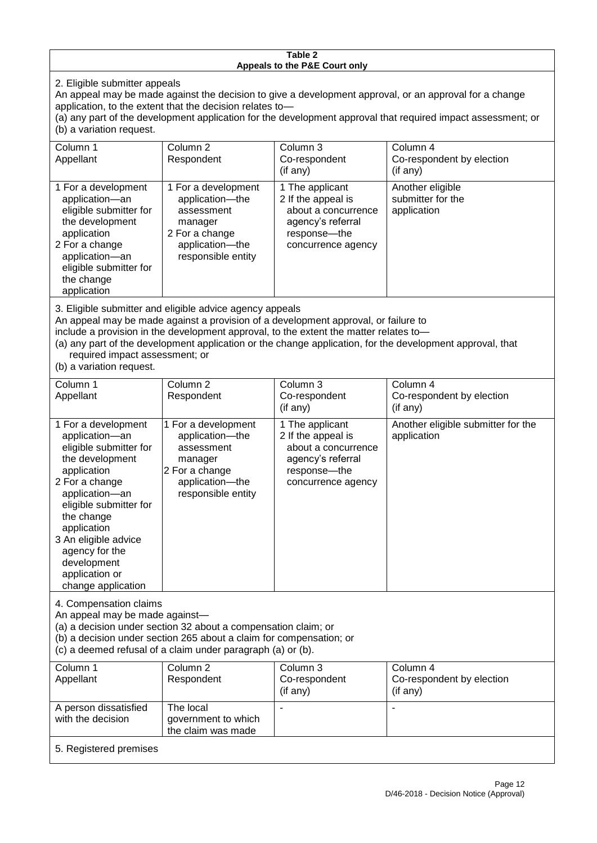#### **Table 2 Appeals to the P&E Court only**

2. Eligible submitter appeals

An appeal may be made against the decision to give a development approval, or an approval for a change application, to the extent that the decision relates to—

(a) any part of the development application for the development approval that required impact assessment; or (b) a variation request.

| Column 1<br>Appellant                                                                                                                                                                        | Column 2<br>Respondent                                                                                                     | Column 3<br>Co-respondent<br>(i f an y)                                                                                   | Column 4<br>Co-respondent by election<br>(if any)    |  |
|----------------------------------------------------------------------------------------------------------------------------------------------------------------------------------------------|----------------------------------------------------------------------------------------------------------------------------|---------------------------------------------------------------------------------------------------------------------------|------------------------------------------------------|--|
| 1 For a development<br>application-an<br>eligible submitter for<br>the development<br>application<br>2 For a change<br>application-an<br>eligible submitter for<br>the change<br>application | 1 For a development<br>application-the<br>assessment<br>manager<br>2 For a change<br>application-the<br>responsible entity | 1 The applicant<br>2 If the appeal is<br>about a concurrence<br>agency's referral<br>response---the<br>concurrence agency | Another eligible<br>submitter for the<br>application |  |
| 3. Eligible submitter and eligible advice agency appeals<br>An appeal may be made against a provision of a development approval or failure to                                                |                                                                                                                            |                                                                                                                           |                                                      |  |

An appeal may be made against a provision of a development approval, or failure to

include a provision in the development approval, to the extent the matter relates to—

(a) any part of the development application or the change application, for the development approval, that required impact assessment; or

(b) a variation request.

| Column 1<br>Appellant                                                                                                                                                                                                                                                                         | Column 2<br>Respondent                                                                                                     | Column <sub>3</sub><br>Co-respondent<br>(if any)                                                                        | Column 4<br>Co-respondent by election<br>(if any)            |  |
|-----------------------------------------------------------------------------------------------------------------------------------------------------------------------------------------------------------------------------------------------------------------------------------------------|----------------------------------------------------------------------------------------------------------------------------|-------------------------------------------------------------------------------------------------------------------------|--------------------------------------------------------------|--|
| 1 For a development<br>application-an<br>eligible submitter for<br>the development<br>application<br>2 For a change<br>application-an<br>eligible submitter for<br>the change<br>application<br>3 An eligible advice<br>agency for the<br>development<br>application or<br>change application | 1 For a development<br>application-the<br>assessment<br>manager<br>2 For a change<br>application-the<br>responsible entity | 1 The applicant<br>2 If the appeal is<br>about a concurrence<br>agency's referral<br>response-the<br>concurrence agency | Another eligible submitter for the<br>application            |  |
| 4. Compensation claims<br>An appeal may be made against-<br>(a) a decision under section 32 about a compensation claim; or<br>(b) a decision under section 265 about a claim for compensation; or<br>(c) a deemed refusal of a claim under paragraph (a) or (b).                              |                                                                                                                            |                                                                                                                         |                                                              |  |
| Column 1<br>Appellant                                                                                                                                                                                                                                                                         | Column <sub>2</sub><br>Respondent                                                                                          | Column 3<br>Co-respondent<br>(if any)                                                                                   | Column <sub>4</sub><br>Co-respondent by election<br>(if any) |  |
| A person dissatisfied<br>with the decision                                                                                                                                                                                                                                                    | The local<br>government to which                                                                                           |                                                                                                                         |                                                              |  |

the claim was made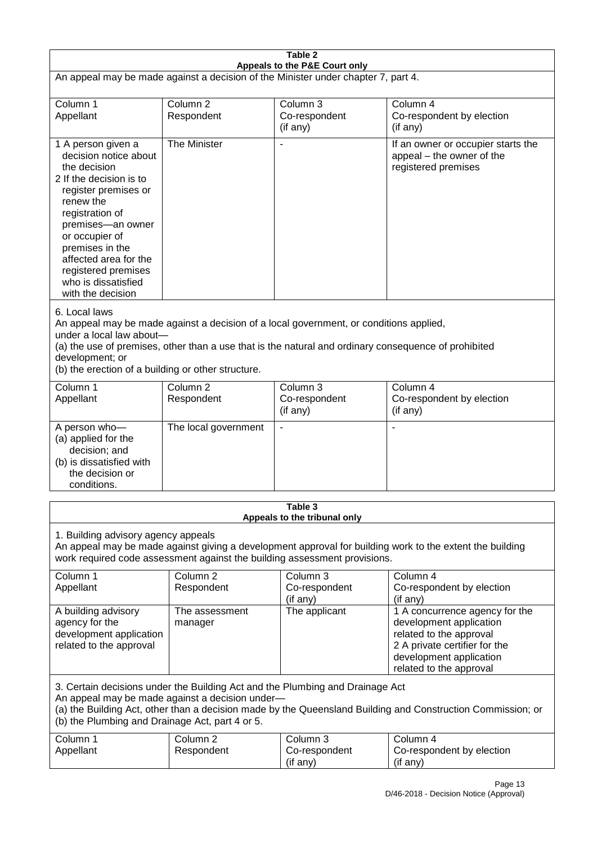| Table 2                                                                                                                                                                                                                                                                                                              |                                   |                                                  |                                                                                                                                                                             |  |
|----------------------------------------------------------------------------------------------------------------------------------------------------------------------------------------------------------------------------------------------------------------------------------------------------------------------|-----------------------------------|--------------------------------------------------|-----------------------------------------------------------------------------------------------------------------------------------------------------------------------------|--|
| Appeals to the P&E Court only<br>An appeal may be made against a decision of the Minister under chapter 7, part 4.                                                                                                                                                                                                   |                                   |                                                  |                                                                                                                                                                             |  |
| Column 1                                                                                                                                                                                                                                                                                                             | Column <sub>2</sub>               | Column 3                                         | Column 4                                                                                                                                                                    |  |
| Appellant                                                                                                                                                                                                                                                                                                            | Respondent                        | Co-respondent<br>(if any)                        | Co-respondent by election<br>(if any)                                                                                                                                       |  |
| 1 A person given a<br>decision notice about<br>the decision<br>2 If the decision is to<br>register premises or<br>renew the<br>registration of<br>premises-an owner<br>or occupier of<br>premises in the<br>affected area for the<br>registered premises<br>who is dissatisfied<br>with the decision                 | The Minister                      | $\overline{\phantom{a}}$                         | If an owner or occupier starts the<br>appeal - the owner of the<br>registered premises                                                                                      |  |
| 6. Local laws<br>An appeal may be made against a decision of a local government, or conditions applied,<br>under a local law about-<br>(a) the use of premises, other than a use that is the natural and ordinary consequence of prohibited<br>development; or<br>(b) the erection of a building or other structure. |                                   |                                                  |                                                                                                                                                                             |  |
| Column 1<br>Appellant                                                                                                                                                                                                                                                                                                | Column <sub>2</sub><br>Respondent | Column <sub>3</sub><br>Co-respondent<br>(if any) | Column 4<br>Co-respondent by election<br>(if any)                                                                                                                           |  |
| A person who-<br>(a) applied for the<br>decision; and<br>(b) is dissatisfied with<br>the decision or<br>conditions.                                                                                                                                                                                                  | The local government              | $\overline{\phantom{a}}$                         |                                                                                                                                                                             |  |
| Table 3<br>Appeals to the tribunal only                                                                                                                                                                                                                                                                              |                                   |                                                  |                                                                                                                                                                             |  |
| 1. Building advisory agency appeals<br>An appeal may be made against giving a development approval for building work to the extent the building<br>work required code assessment against the building assessment provisions.                                                                                         |                                   |                                                  |                                                                                                                                                                             |  |
| Column 1<br>Appellant                                                                                                                                                                                                                                                                                                | Column <sub>2</sub><br>Respondent | Column 3<br>Co-respondent<br>(if any)            | Column 4<br>Co-respondent by election<br>(if any)                                                                                                                           |  |
| A building advisory<br>agency for the<br>development application<br>related to the approval                                                                                                                                                                                                                          | The assessment<br>manager         | The applicant                                    | 1 A concurrence agency for the<br>development application<br>related to the approval<br>2 A private certifier for the<br>development application<br>related to the approval |  |
| 3. Certain decisions under the Building Act and the Plumbing and Drainage Act<br>An appeal may be made against a decision under-<br>(a) the Building Act, other than a decision made by the Queensland Building and Construction Commission; or<br>(b) the Plumbing and Drainage Act, part 4 or 5.                   |                                   |                                                  |                                                                                                                                                                             |  |
| Column 1<br>Appellant                                                                                                                                                                                                                                                                                                | Column <sub>2</sub><br>Respondent | Column 3<br>Co-respondent<br>(if any)            | Column 4<br>Co-respondent by election<br>(if any)                                                                                                                           |  |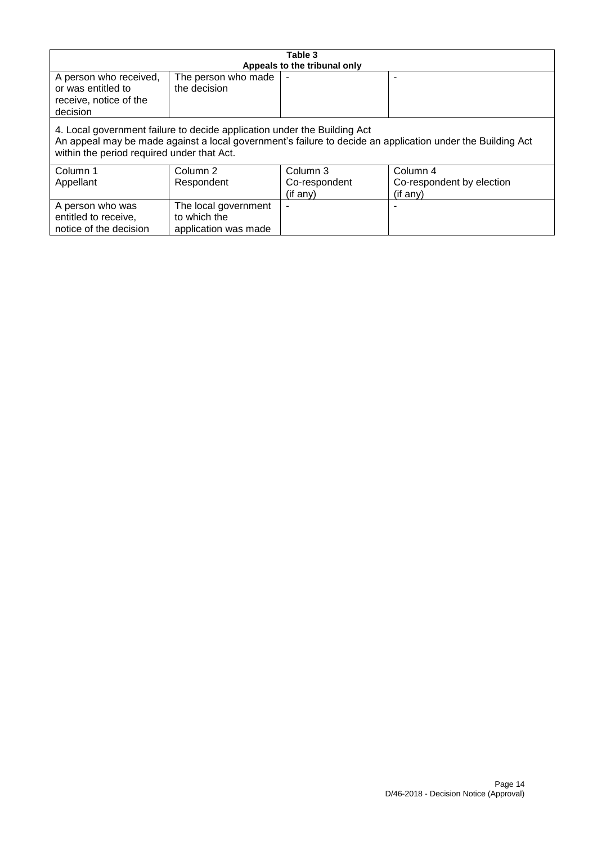| Table 3                                                                                                                                                                                                                              |                                                              |                              |                           |  |
|--------------------------------------------------------------------------------------------------------------------------------------------------------------------------------------------------------------------------------------|--------------------------------------------------------------|------------------------------|---------------------------|--|
|                                                                                                                                                                                                                                      |                                                              | Appeals to the tribunal only |                           |  |
| A person who received,<br>or was entitled to<br>receive, notice of the<br>decision                                                                                                                                                   | The person who made<br>the decision                          |                              |                           |  |
| 4. Local government failure to decide application under the Building Act<br>An appeal may be made against a local government's failure to decide an application under the Building Act<br>within the period required under that Act. |                                                              |                              |                           |  |
| Column 1                                                                                                                                                                                                                             | Column 2                                                     | Column 3                     | Column 4                  |  |
| Appellant                                                                                                                                                                                                                            | Respondent                                                   | Co-respondent                | Co-respondent by election |  |
|                                                                                                                                                                                                                                      |                                                              | (if any)                     | (if any)                  |  |
| A person who was<br>entitled to receive,<br>notice of the decision                                                                                                                                                                   | The local government<br>to which the<br>application was made |                              |                           |  |